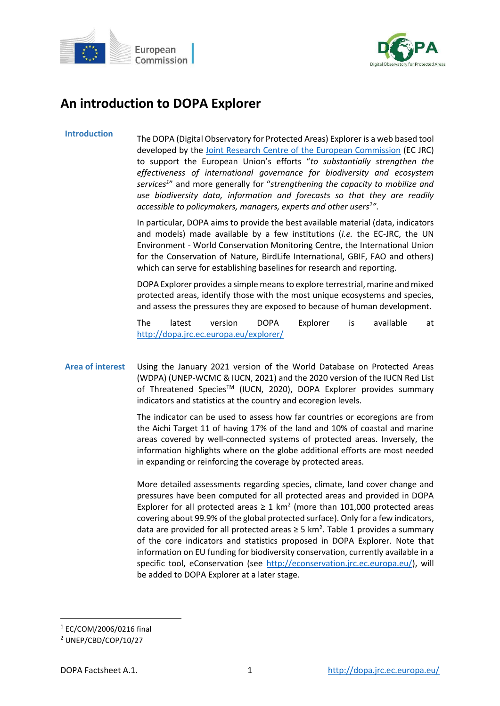



# **An introduction to DOPA Explorer**

**Introduction** The DOPA (Digital Observatory for Protected Areas) Explorer is a web based tool developed by the [Joint Research Centre of the European Commission](https://ec.europa.eu/jrc/en) (EC JRC) to support the European Union's efforts "*to substantially strengthen the effectiveness of international governance for biodiversity and ecosystem services<sup>1</sup>* " and more generally for "*strengthening the capacity to mobilize and use biodiversity data, information and forecasts so that they are readily accessible to policymakers, managers, experts and other users<sup>2</sup> "*.

> In particular, DOPA aims to provide the best available material (data, indicators and models) made available by a few institutions (*i.e.* the EC-JRC, the UN Environment - World Conservation Monitoring Centre, the International Union for the Conservation of Nature, BirdLife International, GBIF, FAO and others) which can serve for establishing baselines for research and reporting.

> DOPA Explorer provides a simple means to explore terrestrial, marine and mixed protected areas, identify those with the most unique ecosystems and species, and assess the pressures they are exposed to because of human development.

> The latest version DOPA Explorer is available at <http://dopa.jrc.ec.europa.eu/explorer/>

## **Area of interest** Using the January 2021 version of the World Database on Protected Areas (WDPA) (UNEP-WCMC & IUCN, 2021) and the 2020 version of the IUCN Red List of Threatened Species<sup>™</sup> (IUCN, 2020), DOPA Explorer provides summary indicators and statistics at the country and ecoregion levels.

The indicator can be used to assess how far countries or ecoregions are from the Aichi Target 11 of having 17% of the land and 10% of coastal and marine areas covered by well-connected systems of protected areas. Inversely, the information highlights where on the globe additional efforts are most needed in expanding or reinforcing the coverage by protected areas.

More detailed assessments regarding species, climate, land cover change and pressures have been computed for all protected areas and provided in DOPA Explorer for all protected areas  $\geq 1$  km<sup>2</sup> (more than 101,000 protected areas covering about 99.9% of the global protected surface). Only for a few indicators, data are provided for all protected areas  $\geq$  5 km<sup>2</sup>. Table 1 provides a summary of the core indicators and statistics proposed in DOPA Explorer. Note that information on EU funding for biodiversity conservation, currently available in a specific tool, eConservation (see [http://econservation.jrc.ec.europa.eu/\)](http://econservation.jrc.ec.europa.eu/), will be added to DOPA Explorer at a later stage.

**.** 

<sup>1</sup> EC/COM/2006/0216 final

<sup>2</sup> UNEP/CBD/COP/10/27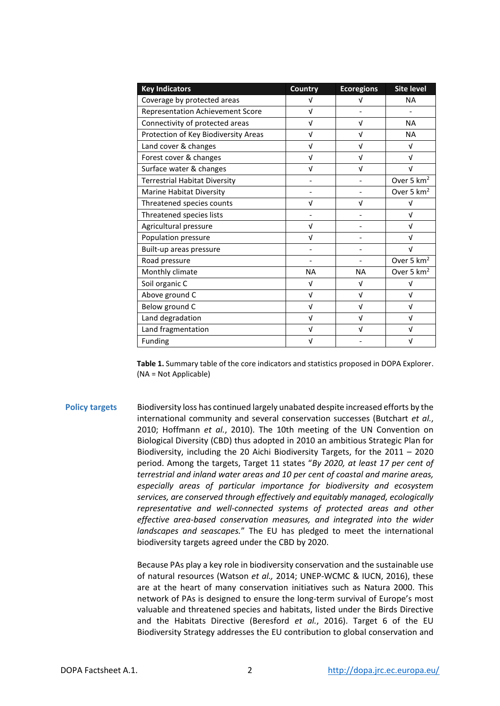| <b>Key Indicators</b>                   | <b>Country</b>           | <b>Ecoregions</b> | <b>Site level</b>      |
|-----------------------------------------|--------------------------|-------------------|------------------------|
| Coverage by protected areas             | v                        | v                 | <b>NA</b>              |
| <b>Representation Achievement Score</b> | $\sqrt{ }$               |                   |                        |
| Connectivity of protected areas         | $\sqrt{ }$               | V                 | <b>NA</b>              |
| Protection of Key Biodiversity Areas    | $\sqrt{ }$               | $\sqrt{ }$        | <b>NA</b>              |
| Land cover & changes                    | $\sqrt{ }$               | $\sqrt{ }$        | V                      |
| Forest cover & changes                  | $\sqrt{ }$               | $\sqrt{ }$        | V                      |
| Surface water & changes                 | V                        | V                 | ν                      |
| <b>Terrestrial Habitat Diversity</b>    |                          |                   | Over 5 km <sup>2</sup> |
| Marine Habitat Diversity                |                          |                   | Over 5 km <sup>2</sup> |
| Threatened species counts               | $\sqrt{ }$               | V                 | V                      |
| Threatened species lists                |                          |                   | $\sqrt{ }$             |
| Agricultural pressure                   | $\sqrt{ }$               |                   | $\sqrt{ }$             |
| Population pressure                     | $\sqrt{ }$               |                   | $\sqrt{ }$             |
| Built-up areas pressure                 |                          |                   | $\sqrt{ }$             |
| Road pressure                           | $\overline{\phantom{0}}$ |                   | Over 5 km <sup>2</sup> |
| Monthly climate                         | <b>NA</b>                | <b>NA</b>         | Over 5 km <sup>2</sup> |
| Soil organic C                          | $\sqrt{ }$               | $\sqrt{ }$        | $\sqrt{ }$             |
| Above ground C                          | $\sqrt{ }$               | $\sqrt{ }$        | $\sqrt{ }$             |
| Below ground C                          | $\sqrt{ }$               | $\sqrt{ }$        | V                      |
| Land degradation                        | $\sqrt{ }$               | $\sqrt{ }$        | $\sqrt{ }$             |
| Land fragmentation                      | V                        | V                 | ν                      |
| Funding                                 | ν                        |                   | ν                      |

**Table 1.** Summary table of the core indicators and statistics proposed in DOPA Explorer. (NA = Not Applicable)

**Policy targets** Biodiversity loss has continued largely unabated despite increased efforts by the international community and several conservation successes (Butchart *et al.*, 2010; Hoffmann *et al.*, 2010). The 10th meeting of the UN Convention on Biological Diversity (CBD) thus adopted in 2010 an ambitious Strategic Plan for Biodiversity, including the 20 Aichi Biodiversity Targets, for the 2011 – 2020 period. Among the targets, Target 11 states "*By 2020, at least 17 per cent of terrestrial and inland water areas and 10 per cent of coastal and marine areas, especially areas of particular importance for biodiversity and ecosystem services, are conserved through effectively and equitably managed, ecologically representative and well-connected systems of protected areas and other effective area-based conservation measures, and integrated into the wider landscapes and seascapes.*" The EU has pledged to meet the international biodiversity targets agreed under the CBD by 2020.

> Because PAs play a key role in biodiversity conservation and the sustainable use of natural resources (Watson *et al.,* 2014; UNEP-WCMC & IUCN, 2016), these are at the heart of many conservation initiatives such as Natura 2000. This network of PAs is designed to ensure the long-term survival of Europe's most valuable and threatened species and habitats, listed under the Birds Directive and the Habitats Directive (Beresford *et al.*, 2016). Target 6 of the EU Biodiversity Strategy addresses the EU contribution to global conservation and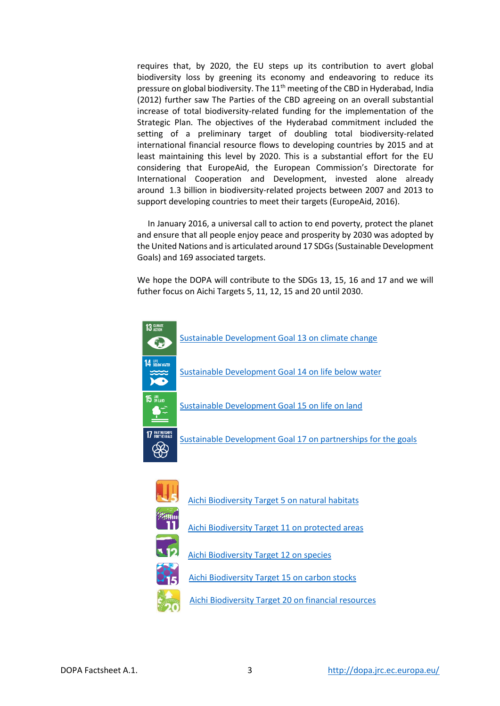requires that, by 2020, the EU steps up its contribution to avert global biodiversity loss by greening its economy and endeavoring to reduce its pressure on global biodiversity. The  $11<sup>th</sup>$  meeting of the CBD in Hyderabad, India (2012) further saw The Parties of the CBD agreeing on an overall substantial increase of total biodiversity-related funding for the implementation of the Strategic Plan. The objectives of the Hyderabad commitment included the setting of a preliminary target of doubling total biodiversity-related international financial resource flows to developing countries by 2015 and at least maintaining this level by 2020. This is a substantial effort for the EU considering that EuropeAid, the European Commission's Directorate for International Cooperation and Development, invested alone already around 1.3 billion in biodiversity-related projects between 2007 and 2013 to support developing countries to meet their targets (EuropeAid, 2016).

 In January 2016, a universal call to action to end poverty, protect the planet and ensure that all people enjoy peace and prosperity by 2030 was adopted by the United Nations and is articulated around 17 SDGs (Sustainable Development Goals) and 169 associated targets.

We hope the DOPA will contribute to the SDGs 13, 15, 16 and 17 and we will futher focus on Aichi Targets 5, 11, 12, 15 and 20 until 2030.





- [Aichi Biodiversity Target 5 on natural habitats](http://www.cbd.int/sp/targets/rationale/target-5/)
- [Aichi Biodiversity Target 11 on protected areas](http://www.cbd.int/sp/targets/rationale/target-11/)



[Aichi Biodiversity Target 12 on species](http://www.cbd.int/sp/targets/rationale/target-12/)





- [Aichi Biodiversity Target 15 on carbon stocks](https://www.cbd.int/sp/targets/rationale/target-15/)
- [Aichi Biodiversity Target 20 on financial resources](http://www.cbd.int/sp/targets/rationale/target-20/)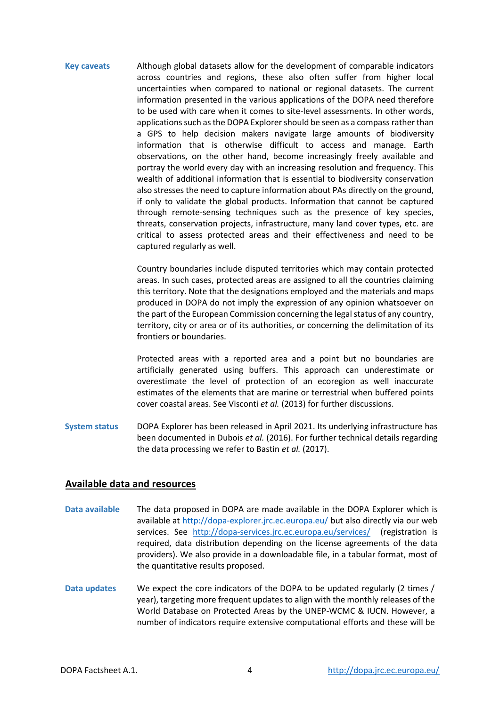**Key caveats** Although global datasets allow for the development of comparable indicators across countries and regions, these also often suffer from higher local uncertainties when compared to national or regional datasets. The current information presented in the various applications of the DOPA need therefore to be used with care when it comes to site-level assessments. In other words, applications such as the DOPA Explorer should be seen as a compass rather than a GPS to help decision makers navigate large amounts of biodiversity information that is otherwise difficult to access and manage. Earth observations, on the other hand, become increasingly freely available and portray the world every day with an increasing resolution and frequency. This wealth of additional information that is essential to biodiversity conservation also stresses the need to capture information about PAs directly on the ground, if only to validate the global products. Information that cannot be captured through remote-sensing techniques such as the presence of key species, threats, conservation projects, infrastructure, many land cover types, etc. are critical to assess protected areas and their effectiveness and need to be captured regularly as well.

> Country boundaries include disputed territories which may contain protected areas. In such cases, protected areas are assigned to all the countries claiming this territory. Note that the designations employed and the materials and maps produced in DOPA do not imply the expression of any opinion whatsoever on the part of the European Commission concerning the legal status of any country, territory, city or area or of its authorities, or concerning the delimitation of its frontiers or boundaries.

> Protected areas with a reported area and a point but no boundaries are artificially generated using buffers. This approach can underestimate or overestimate the level of protection of an ecoregion as well inaccurate estimates of the elements that are marine or terrestrial when buffered points cover coastal areas. See Visconti *et al.* (2013) for further discussions.

**System status** DOPA Explorer has been released in April 2021. Its underlying infrastructure has been documented in Dubois *et al.* (2016). For further technical details regarding the data processing we refer to Bastin *et al.* (2017).

### **Available data and resources**

- **Data available** The data proposed in DOPA are made available in the DOPA Explorer which is available at<http://dopa-explorer.jrc.ec.europa.eu/> but also directly via our web services. See <http://dopa-services.jrc.ec.europa.eu/services/>(registration is required, data distribution depending on the license agreements of the data providers). We also provide in a downloadable file, in a tabular format, most of the quantitative results proposed.
- **Data updates** We expect the core indicators of the DOPA to be updated regularly (2 times / year), targeting more frequent updates to align with the monthly releases of the World Database on Protected Areas by the UNEP-WCMC & IUCN. However, a number of indicators require extensive computational efforts and these will be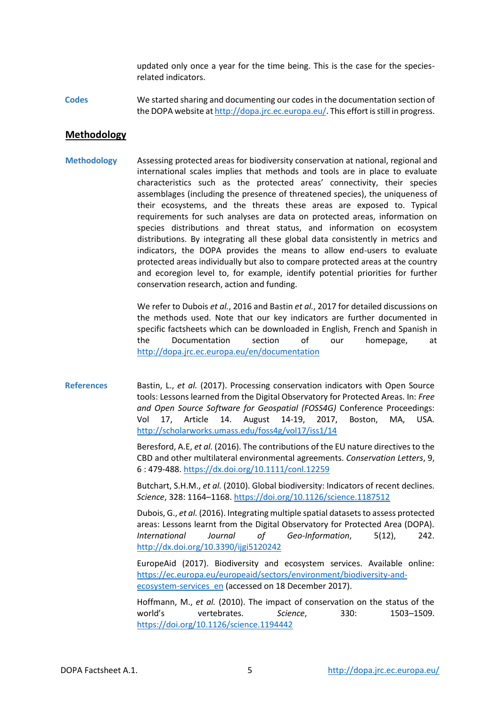updated only once a year for the time being. This is the case for the speciesrelated indicators.

**Codes** We started sharing and documenting our codes in the documentation section of the DOPA website a[t http://dopa.jrc.ec.europa.eu/.](http://dopa.jrc.ec.europa.eu/) This effort is still in progress.

#### **Methodology**

**Methodology** Assessing protected areas for biodiversity conservation at national, regional and international scales implies that methods and tools are in place to evaluate characteristics such as the protected areas' connectivity, their species assemblages (including the presence of threatened species), the uniqueness of their ecosystems, and the threats these areas are exposed to. Typical requirements for such analyses are data on protected areas, information on species distributions and threat status, and information on ecosystem distributions. By integrating all these global data consistently in metrics and indicators, the DOPA provides the means to allow end-users to evaluate protected areas individually but also to compare protected areas at the country and ecoregion level to, for example, identify potential priorities for further conservation research, action and funding.

> We refer to Dubois *et al.*, 2016 and Bastin *et al.*, 2017 for detailed discussions on the methods used. Note that our key indicators are further documented in specific factsheets which can be downloaded in English, French and Spanish in the Documentation section of our homepage, at <http://dopa.jrc.ec.europa.eu/en/documentation>

**References** Bastin, L., *et al.* (2017). Processing conservation indicators with Open Source tools: Lessons learned from the Digital Observatory for Protected Areas. In: *Free and Open Source Software for Geospatial (FOSS4G)* Conference Proceedings: Vol 17, Article 14. August 14-19, 2017, Boston, MA, USA. <http://scholarworks.umass.edu/foss4g/vol17/iss1/14>

> Beresford, A.E, *et al.* (2016). The contributions of the EU nature directives to the CBD and other multilateral environmental agreements. *Conservation Letters*, 9, 6 : 479-488[. https://dx.doi.org/10.1111/conl.12259](https://dx.doi.org/10.1111/conl.12259)

> Butchart, S.H.M., *et al.* (2010). Global biodiversity: Indicators of recent declines. *Science*, 328: 1164–1168[. https://doi.org/10.1126/science.1187512](https://doi.org/10.1126/science.1187512)

> Dubois, G., *et al.* (2016). Integrating multiple spatial datasets to assess protected areas: Lessons learnt from the Digital Observatory for Protected Area (DOPA). *International Journal of Geo-Information*, 5(12), 242. <http://dx.doi.org/10.3390/ijgi5120242>

> EuropeAid (2017). Biodiversity and ecosystem services. Available online: [https://ec.europa.eu/europeaid/sectors/environment/biodiversity-and](https://ec.europa.eu/europeaid/sectors/environment/biodiversity-and-ecosystem-services_en)[ecosystem-services\\_en](https://ec.europa.eu/europeaid/sectors/environment/biodiversity-and-ecosystem-services_en) (accessed on 18 December 2017).

> Hoffmann, M., *et al.* (2010). The impact of conservation on the status of the world's vertebrates. *Science*, 330: 1503–1509. <https://doi.org/10.1126/science.1194442>